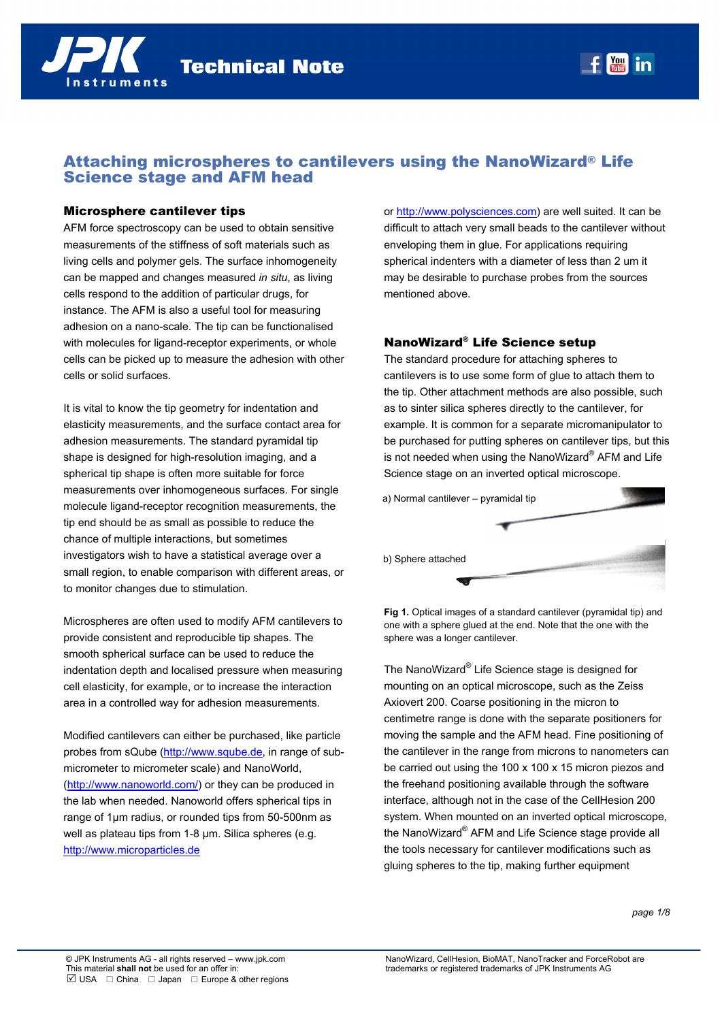

# Attaching microspheres to cantilevers using the NanoWizard® Life Science stage and AFM head

### Microsphere cantilever tips

AFM force spectroscopy can be used to obtain sensitive measurements of the stiffness of soft materials such as living cells and polymer gels. The surface inhomogeneity can be mapped and changes measured *in situ*, as living cells respond to the addition of particular drugs, for instance. The AFM is also a useful tool for measuring adhesion on a nano-scale. The tip can be functionalised with molecules for ligand-receptor experiments, or whole cells can be picked up to measure the adhesion with other cells or solid surfaces.

It is vital to know the tip geometry for indentation and elasticity measurements, and the surface contact area for adhesion measurements. The standard pyramidal tip shape is designed for high-resolution imaging, and a spherical tip shape is often more suitable for force measurements over inhomogeneous surfaces. For single molecule ligand-receptor recognition measurements, the tip end should be as small as possible to reduce the chance of multiple interactions, but sometimes investigators wish to have a statistical average over a small region, to enable comparison with different areas, or to monitor changes due to stimulation.

Microspheres are often used to modify AFM cantilevers to provide consistent and reproducible tip shapes. The smooth spherical surface can be used to reduce the indentation depth and localised pressure when measuring cell elasticity, for example, or to increase the interaction area in a controlled way for adhesion measurements.

Modified cantilevers can either be purchased, like particle probes from sQube (http://www.sqube.de, in range of submicrometer to micrometer scale) and NanoWorld, (http://www.nanoworld.com/) or they can be produced in the lab when needed. Nanoworld offers spherical tips in range of 1µm radius, or rounded tips from 50-500nm as well as plateau tips from 1-8 um. Silica spheres (e.g. http://www.microparticles.de

or http://www.polysciences.com) are well suited. It can be difficult to attach very small beads to the cantilever without enveloping them in glue. For applications requiring spherical indenters with a diameter of less than 2 um it may be desirable to purchase probes from the sources mentioned above.

Rachel Owen/Torsten Müller  $t = 4$   $t = 3$ 

## NanoWizard® Life Science setup

The standard procedure for attaching spheres to cantilevers is to use some form of glue to attach them to the tip. Other attachment methods are also possible, such as to sinter silica spheres directly to the cantilever, for example. It is common for a separate micromanipulator to be purchased for putting spheres on cantilever tips, but this is not needed when using the NanoWizard® AFM and Life Science stage on an inverted optical microscope.



**Fig 1.** Optical images of a standard cantilever (pyramidal tip) and one with a sphere glued at the end. Note that the one with the sphere was a longer cantilever.

The NanoWizard® Life Science stage is designed for mounting on an optical microscope, such as the Zeiss Axiovert 200. Coarse positioning in the micron to centimetre range is done with the separate positioners for moving the sample and the AFM head. Fine positioning of the cantilever in the range from microns to nanometers can be carried out using the 100 x 100 x 15 micron piezos and the freehand positioning available through the software interface, although not in the case of the CellHesion 200 system. When mounted on an inverted optical microscope, the NanoWizard® AFM and Life Science stage provide all the tools necessary for cantilever modifications such as gluing spheres to the tip, making further equipment

*page 1/8*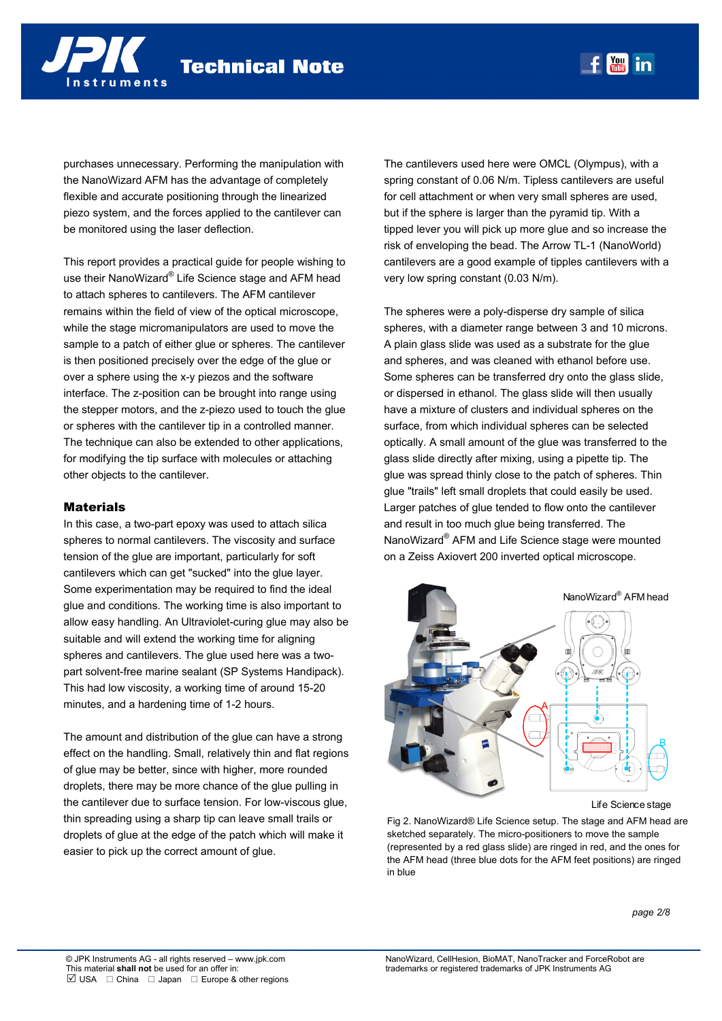purchases unnecessary. Performing the manipulation with the NanoWizard AFM has the advantage of completely flexible and accurate positioning through the linearized piezo system, and the forces applied to the cantilever can be monitored using the laser deflection.

This report provides a practical guide for people wishing to use their NanoWizard® Life Science stage and AFM head to attach spheres to cantilevers. The AFM cantilever remains within the field of view of the optical microscope, while the stage micromanipulators are used to move the sample to a patch of either glue or spheres. The cantilever is then positioned precisely over the edge of the glue or over a sphere using the x-y piezos and the software interface. The z-position can be brought into range using the stepper motors, and the z-piezo used to touch the glue or spheres with the cantilever tip in a controlled manner. The technique can also be extended to other applications, for modifying the tip surface with molecules or attaching other objects to the cantilever.

### Materials

In this case, a two-part epoxy was used to attach silica spheres to normal cantilevers. The viscosity and surface tension of the glue are important, particularly for soft cantilevers which can get "sucked" into the glue layer. Some experimentation may be required to find the ideal glue and conditions. The working time is also important to allow easy handling. An Ultraviolet-curing glue may also be suitable and will extend the working time for aligning spheres and cantilevers. The glue used here was a twopart solvent-free marine sealant (SP Systems Handipack). This had low viscosity, a working time of around 15-20 minutes, and a hardening time of 1-2 hours.

The amount and distribution of the glue can have a strong effect on the handling. Small, relatively thin and flat regions of glue may be better, since with higher, more rounded droplets, there may be more chance of the glue pulling in the cantilever due to surface tension. For low-viscous glue, thin spreading using a sharp tip can leave small trails or droplets of glue at the edge of the patch which will make it easier to pick up the correct amount of glue.

The cantilevers used here were OMCL (Olympus), with a spring constant of 0.06 N/m. Tipless cantilevers are useful for cell attachment or when very small spheres are used, but if the sphere is larger than the pyramid tip. With a tipped lever you will pick up more glue and so increase the risk of enveloping the bead. The Arrow TL-1 (NanoWorld) cantilevers are a good example of tipples cantilevers with a very low spring constant (0.03 N/m).

The spheres were a poly-disperse dry sample of silica spheres, with a diameter range between 3 and 10 microns. A plain glass slide was used as a substrate for the glue and spheres, and was cleaned with ethanol before use. Some spheres can be transferred dry onto the glass slide, or dispersed in ethanol. The glass slide will then usually have a mixture of clusters and individual spheres on the surface, from which individual spheres can be selected optically. A small amount of the glue was transferred to the glass slide directly after mixing, using a pipette tip. The glue was spread thinly close to the patch of spheres. Thin glue "trails" left small droplets that could easily be used. Larger patches of glue tended to flow onto the cantilever and result in too much glue being transferred. The NanoWizard® AFM and Life Science stage were mounted on a Zeiss Axiovert 200 inverted optical microscope.



Life Science stage

Fig 2. NanoWizard® Life Science setup. The stage and AFM head are sketched separately. The micro-positioners to move the sample (represented by a red glass slide) are ringed in red, and the ones for the AFM head (three blue dots for the AFM feet positions) are ringed in blue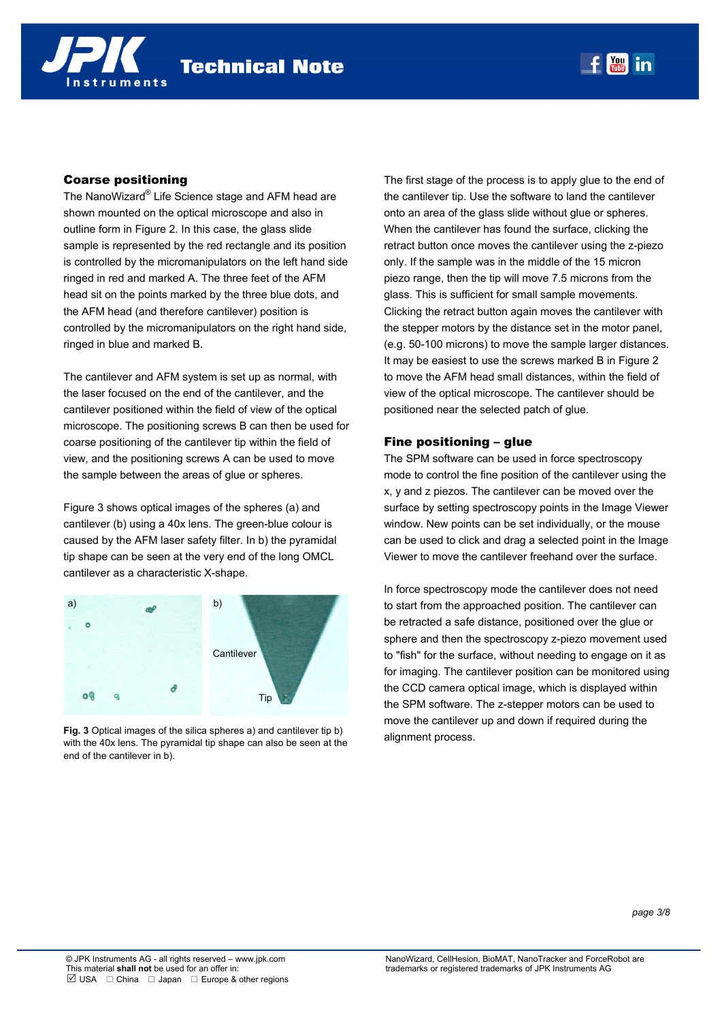# Coarse positioning

The NanoWizard® Life Science stage and AFM head are shown mounted on the optical microscope and also in outline form in Figure 2. In this case, the glass slide sample is represented by the red rectangle and its position is controlled by the micromanipulators on the left hand side ringed in red and marked A. The three feet of the AFM head sit on the points marked by the three blue dots, and the AFM head (and therefore cantilever) position is controlled by the micromanipulators on the right hand side, ringed in blue and marked B.

The cantilever and AFM system is set up as normal, with the laser focused on the end of the cantilever, and the cantilever positioned within the field of view of the optical microscope. The positioning screws B can then be used for coarse positioning of the cantilever tip within the field of view, and the positioning screws A can be used to move the sample between the areas of glue or spheres.

Figure 3 shows optical images of the spheres (a) and cantilever (b) using a 40x lens. The green-blue colour is caused by the AFM laser safety filter. In b) the pyramidal tip shape can be seen at the very end of the long OMCL cantilever as a characteristic X-shape.



**Fig. 3** Optical images of the silica spheres a) and cantilever tip b) with the 40x lens. The pyramidal tip shape can also be seen at the end of the cantilever in b).

The first stage of the process is to apply glue to the end of the cantilever tip. Use the software to land the cantilever onto an area of the glass slide without glue or spheres. When the cantilever has found the surface, clicking the retract button once moves the cantilever using the z-piezo only. If the sample was in the middle of the 15 micron piezo range, then the tip will move 7.5 microns from the glass. This is sufficient for small sample movements. Clicking the retract button again moves the cantilever with the stepper motors by the distance set in the motor panel, (e.g. 50-100 microns) to move the sample larger distances. It may be easiest to use the screws marked B in Figure 2 to move the AFM head small distances, within the field of view of the optical microscope. The cantilever should be positioned near the selected patch of glue.

Rachel Owen/Torsten Müller  $t = 4$   $t = 3$ 

# Fine positioning – glue

The SPM software can be used in force spectroscopy mode to control the fine position of the cantilever using the x, y and z piezos. The cantilever can be moved over the surface by setting spectroscopy points in the Image Viewer window. New points can be set individually, or the mouse can be used to click and drag a selected point in the Image Viewer to move the cantilever freehand over the surface.

In force spectroscopy mode the cantilever does not need to start from the approached position. The cantilever can be retracted a safe distance, positioned over the glue or sphere and then the spectroscopy z-piezo movement used to "fish" for the surface, without needing to engage on it as for imaging. The cantilever position can be monitored using the CCD camera optical image, which is displayed within the SPM software. The z-stepper motors can be used to move the cantilever up and down if required during the alignment process.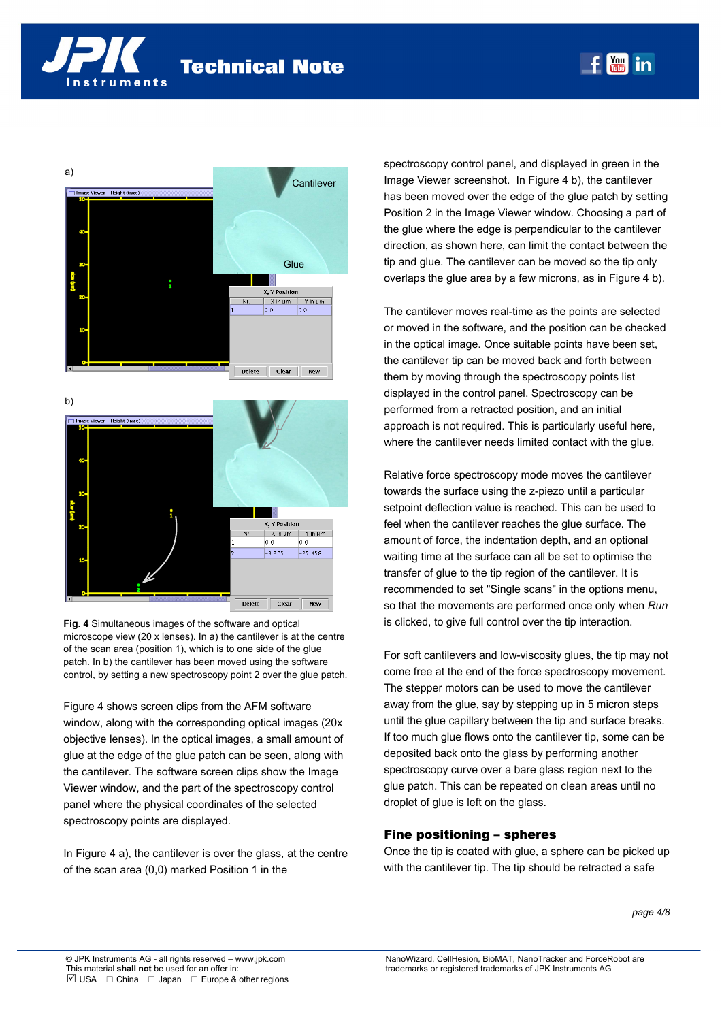





**Fig. 4** Simultaneous images of the software and optical microscope view (20 x lenses). In a) the cantilever is at the centre of the scan area (position 1), which is to one side of the glue patch. In b) the cantilever has been moved using the software control, by setting a new spectroscopy point 2 over the glue patch.

Figure 4 shows screen clips from the AFM software window, along with the corresponding optical images (20x objective lenses). In the optical images, a small amount of glue at the edge of the glue patch can be seen, along with the cantilever. The software screen clips show the Image Viewer window, and the part of the spectroscopy control panel where the physical coordinates of the selected spectroscopy points are displayed.

In Figure 4 a), the cantilever is over the glass, at the centre of the scan area (0,0) marked Position 1 in the

spectroscopy control panel, and displayed in green in the Image Viewer screenshot. In Figure 4 b), the cantilever has been moved over the edge of the glue patch by setting Position 2 in the Image Viewer window. Choosing a part of the glue where the edge is perpendicular to the cantilever direction, as shown here, can limit the contact between the tip and glue. The cantilever can be moved so the tip only overlaps the glue area by a few microns, as in Figure 4 b).

Rachel Owen/Torsten Müller  $t = 4$   $t = 3$ 

The cantilever moves real-time as the points are selected or moved in the software, and the position can be checked in the optical image. Once suitable points have been set, the cantilever tip can be moved back and forth between them by moving through the spectroscopy points list displayed in the control panel. Spectroscopy can be performed from a retracted position, and an initial approach is not required. This is particularly useful here, where the cantilever needs limited contact with the glue.

Relative force spectroscopy mode moves the cantilever towards the surface using the z-piezo until a particular setpoint deflection value is reached. This can be used to feel when the cantilever reaches the glue surface. The amount of force, the indentation depth, and an optional waiting time at the surface can all be set to optimise the transfer of glue to the tip region of the cantilever. It is recommended to set "Single scans" in the options menu, so that the movements are performed once only when *Run* is clicked, to give full control over the tip interaction.

For soft cantilevers and low-viscosity glues, the tip may not come free at the end of the force spectroscopy movement. The stepper motors can be used to move the cantilever away from the glue, say by stepping up in 5 micron steps until the glue capillary between the tip and surface breaks. If too much glue flows onto the cantilever tip, some can be deposited back onto the glass by performing another spectroscopy curve over a bare glass region next to the glue patch. This can be repeated on clean areas until no droplet of glue is left on the glass.

## Fine positioning – spheres

Once the tip is coated with glue, a sphere can be picked up with the cantilever tip. The tip should be retracted a safe

*page 4/8*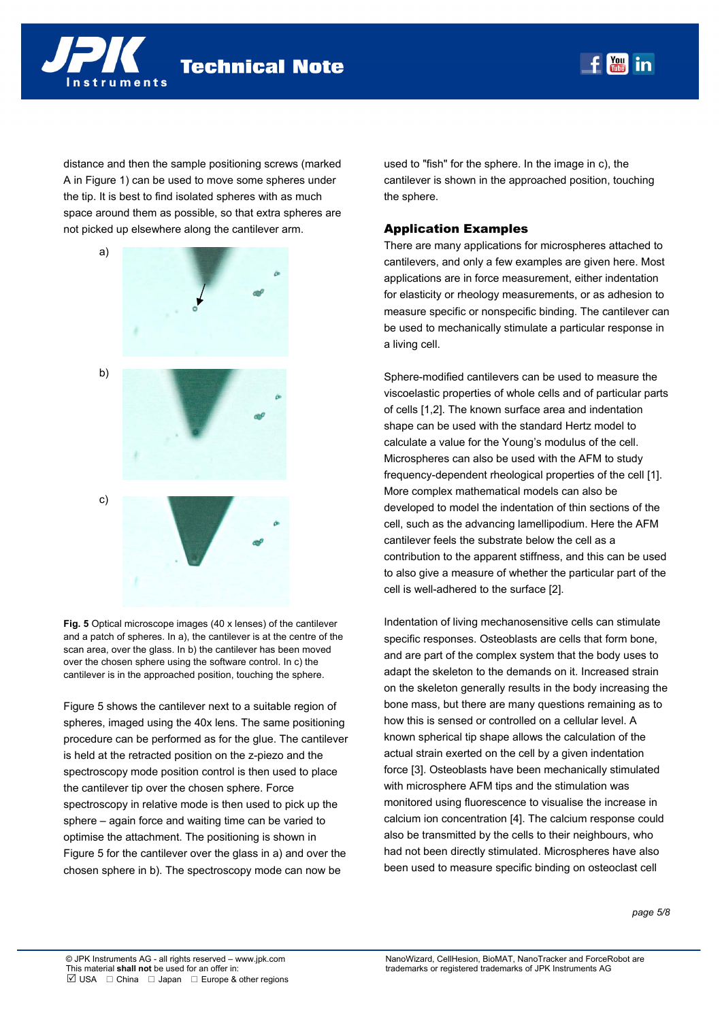

truments

distance and then the sample positioning screws (marked A in Figure 1) can be used to move some spheres under the tip. It is best to find isolated spheres with as much space around them as possible, so that extra spheres are not picked up elsewhere along the cantilever arm.



**Fig. 5** Optical microscope images (40 x lenses) of the cantilever and a patch of spheres. In a), the cantilever is at the centre of the scan area, over the glass. In b) the cantilever has been moved over the chosen sphere using the software control. In c) the cantilever is in the approached position, touching the sphere.

Figure 5 shows the cantilever next to a suitable region of spheres, imaged using the 40x lens. The same positioning procedure can be performed as for the glue. The cantilever is held at the retracted position on the z-piezo and the spectroscopy mode position control is then used to place the cantilever tip over the chosen sphere. Force spectroscopy in relative mode is then used to pick up the sphere – again force and waiting time can be varied to optimise the attachment. The positioning is shown in Figure 5 for the cantilever over the glass in a) and over the chosen sphere in b). The spectroscopy mode can now be

used to "fish" for the sphere. In the image in c), the cantilever is shown in the approached position, touching the sphere.

Rachel Owen/Torsten Müller  $t = 4$   $t = 3$ 

### Application Examples

There are many applications for microspheres attached to cantilevers, and only a few examples are given here. Most applications are in force measurement, either indentation for elasticity or rheology measurements, or as adhesion to measure specific or nonspecific binding. The cantilever can be used to mechanically stimulate a particular response in a living cell.

Sphere-modified cantilevers can be used to measure the viscoelastic properties of whole cells and of particular parts of cells [1,2]. The known surface area and indentation shape can be used with the standard Hertz model to calculate a value for the Young's modulus of the cell. Microspheres can also be used with the AFM to study frequency-dependent rheological properties of the cell [1]. More complex mathematical models can also be developed to model the indentation of thin sections of the cell, such as the advancing lamellipodium. Here the AFM cantilever feels the substrate below the cell as a contribution to the apparent stiffness, and this can be used to also give a measure of whether the particular part of the cell is well-adhered to the surface [2].

Indentation of living mechanosensitive cells can stimulate specific responses. Osteoblasts are cells that form bone, and are part of the complex system that the body uses to adapt the skeleton to the demands on it. Increased strain on the skeleton generally results in the body increasing the bone mass, but there are many questions remaining as to how this is sensed or controlled on a cellular level. A known spherical tip shape allows the calculation of the actual strain exerted on the cell by a given indentation force [3]. Osteoblasts have been mechanically stimulated with microsphere AFM tips and the stimulation was monitored using fluorescence to visualise the increase in calcium ion concentration [4]. The calcium response could also be transmitted by the cells to their neighbours, who had not been directly stimulated. Microspheres have also been used to measure specific binding on osteoclast cell

*page 5/8*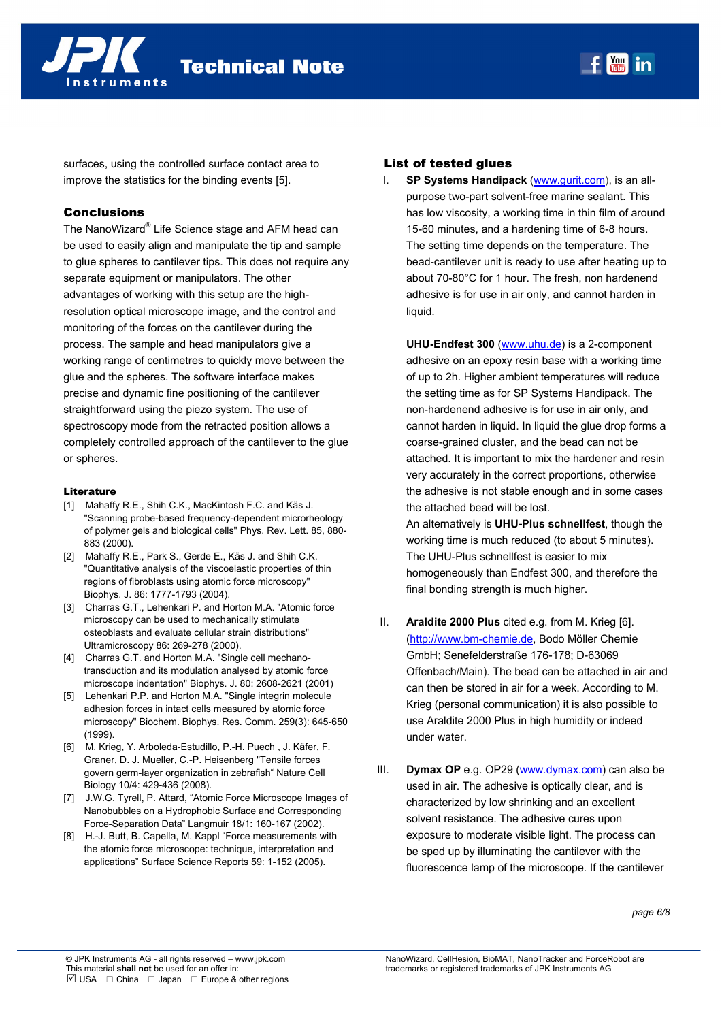

surfaces, using the controlled surface contact area to improve the statistics for the binding events [5].

## Conclusions

The NanoWizard® Life Science stage and AFM head can be used to easily align and manipulate the tip and sample to glue spheres to cantilever tips. This does not require any separate equipment or manipulators. The other advantages of working with this setup are the highresolution optical microscope image, and the control and monitoring of the forces on the cantilever during the process. The sample and head manipulators give a working range of centimetres to quickly move between the glue and the spheres. The software interface makes precise and dynamic fine positioning of the cantilever straightforward using the piezo system. The use of spectroscopy mode from the retracted position allows a completely controlled approach of the cantilever to the glue or spheres.

#### Literature

- [1] Mahaffy R.E., Shih C.K., MacKintosh F.C. and Käs J. "Scanning probe-based frequency-dependent microrheology of polymer gels and biological cells" Phys. Rev. Lett. 85, 880- 883 (2000).
- [2] Mahaffy R.E., Park S., Gerde E., Käs J. and Shih C.K. "Quantitative analysis of the viscoelastic properties of thin regions of fibroblasts using atomic force microscopy" Biophys. J. 86: 1777-1793 (2004).
- [3] Charras G.T., Lehenkari P. and Horton M.A. "Atomic force microscopy can be used to mechanically stimulate osteoblasts and evaluate cellular strain distributions" Ultramicroscopy 86: 269-278 (2000).
- [4] Charras G.T. and Horton M.A. "Single cell mechanotransduction and its modulation analysed by atomic force microscope indentation" Biophys. J. 80: 2608-2621 (2001)
- [5] Lehenkari P.P. and Horton M.A. "Single integrin molecule adhesion forces in intact cells measured by atomic force microscopy" Biochem. Biophys. Res. Comm. 259(3): 645-650 (1999).
- [6] M. Krieg, Y. Arboleda-Estudillo, P.-H. Puech , J. Käfer, F. Graner, D. J. Mueller, C.-P. Heisenberg "Tensile forces govern germ-layer organization in zebrafish" Nature Cell Biology 10/4: 429-436 (2008).
- [7] J.W.G. Tyrell, P. Attard, "Atomic Force Microscope Images of Nanobubbles on a Hydrophobic Surface and Corresponding Force-Separation Data" Langmuir 18/1: 160-167 (2002).
- [8] H.-J. Butt, B. Capella, M. Kappl "Force measurements with the atomic force microscope: technique, interpretation and applications" Surface Science Reports 59: 1-152 (2005).

# List of tested glues

**SP Systems Handipack** (www.gurit.com), is an allpurpose two-part solvent-free marine sealant. This has low viscosity, a working time in thin film of around 15-60 minutes, and a hardening time of 6-8 hours. The setting time depends on the temperature. The bead-cantilever unit is ready to use after heating up to about 70-80°C for 1 hour. The fresh, non hardenend adhesive is for use in air only, and cannot harden in liquid.

**UHU-Endfest 300** (www.uhu.de) is a 2-component adhesive on an epoxy resin base with a working time of up to 2h. Higher ambient temperatures will reduce the setting time as for SP Systems Handipack. The non-hardenend adhesive is for use in air only, and cannot harden in liquid. In liquid the glue drop forms a coarse-grained cluster, and the bead can not be attached. It is important to mix the hardener and resin very accurately in the correct proportions, otherwise the adhesive is not stable enough and in some cases the attached bead will be lost.

An alternatively is **UHU-Plus schnellfest**, though the working time is much reduced (to about 5 minutes). The UHU-Plus schnellfest is easier to mix homogeneously than Endfest 300, and therefore the final bonding strength is much higher.

- II. **Araldite 2000 Plus** cited e.g. from M. Krieg [6]. (http://www.bm-chemie.de, Bodo Möller Chemie GmbH; Senefelderstraße 176-178; D-63069 Offenbach/Main). The bead can be attached in air and can then be stored in air for a week. According to M. Krieg (personal communication) it is also possible to use Araldite 2000 Plus in high humidity or indeed under water.
- III. **Dymax OP** e.g. OP29 (www.dymax.com) can also be used in air. The adhesive is optically clear, and is characterized by low shrinking and an excellent solvent resistance. The adhesive cures upon exposure to moderate visible light. The process can be sped up by illuminating the cantilever with the fluorescence lamp of the microscope. If the cantilever

*page 6/8*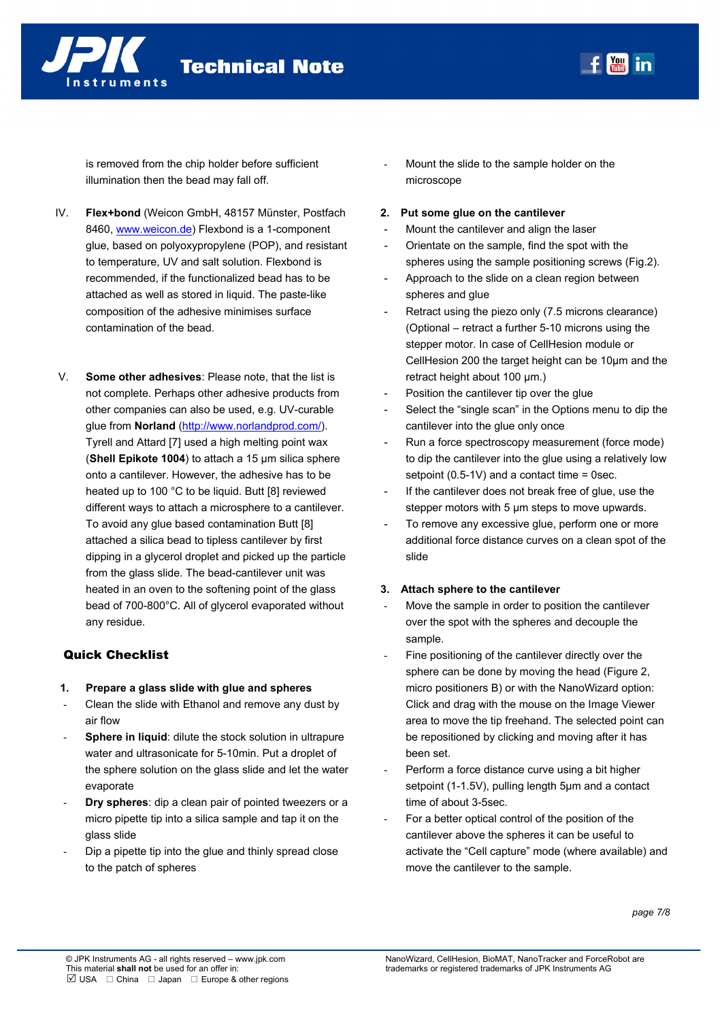

is removed from the chip holder before sufficient illumination then the bead may fall off.

- IV. **Flex+bond** (Weicon GmbH, 48157 Münster, Postfach 8460, www.weicon.de) Flexbond is a 1-component glue, based on polyoxypropylene (POP), and resistant to temperature, UV and salt solution. Flexbond is recommended, if the functionalized bead has to be attached as well as stored in liquid. The paste-like composition of the adhesive minimises surface contamination of the bead.
- V. **Some other adhesives**: Please note, that the list is not complete. Perhaps other adhesive products from other companies can also be used, e.g. UV-curable glue from **Norland** (http://www.norlandprod.com/). Tyrell and Attard [7] used a high melting point wax (**Shell Epikote 1004**) to attach a 15 µm silica sphere onto a cantilever. However, the adhesive has to be heated up to 100 °C to be liquid. Butt [8] reviewed different ways to attach a microsphere to a cantilever. To avoid any glue based contamination Butt [8] attached a silica bead to tipless cantilever by first dipping in a glycerol droplet and picked up the particle from the glass slide. The bead-cantilever unit was heated in an oven to the softening point of the glass bead of 700-800°C. All of glycerol evaporated without any residue.

### Quick Checklist

- **1. Prepare a glass slide with glue and spheres**
- Clean the slide with Ethanol and remove any dust by air flow
- **Sphere in liquid:** dilute the stock solution in ultrapure water and ultrasonicate for 5-10min. Put a droplet of the sphere solution on the glass slide and let the water evaporate
- **Dry spheres:** dip a clean pair of pointed tweezers or a micro pipette tip into a silica sample and tap it on the glass slide
- Dip a pipette tip into the glue and thinly spread close to the patch of spheres
- Mount the slide to the sample holder on the microscope
- **2. Put some glue on the cantilever**
- Mount the cantilever and align the laser
- Orientate on the sample, find the spot with the spheres using the sample positioning screws (Fig.2).

<u>You</u> |  $t = 4$   $t = 3$ 

- Approach to the slide on a clean region between spheres and glue
- Retract using the piezo only (7.5 microns clearance) (Optional – retract a further 5-10 microns using the stepper motor. In case of CellHesion module or CellHesion 200 the target height can be 10µm and the retract height about 100 µm.)
- Position the cantilever tip over the glue
- Select the "single scan" in the Options menu to dip the cantilever into the glue only once
- Run a force spectroscopy measurement (force mode) to dip the cantilever into the glue using a relatively low setpoint (0.5-1V) and a contact time = 0sec.
- If the cantilever does not break free of glue, use the stepper motors with 5  $\mu$ m steps to move upwards.
- To remove any excessive glue, perform one or more additional force distance curves on a clean spot of the slide

#### **3. Attach sphere to the cantilever**

- Move the sample in order to position the cantilever over the spot with the spheres and decouple the sample.
- Fine positioning of the cantilever directly over the sphere can be done by moving the head (Figure 2, micro positioners B) or with the NanoWizard option: Click and drag with the mouse on the Image Viewer area to move the tip freehand. The selected point can be repositioned by clicking and moving after it has been set.
- Perform a force distance curve using a bit higher setpoint (1-1.5V), pulling length 5um and a contact time of about 3-5sec.
- For a better optical control of the position of the cantilever above the spheres it can be useful to activate the "Cell capture" mode (where available) and move the cantilever to the sample.

*page 7/8*